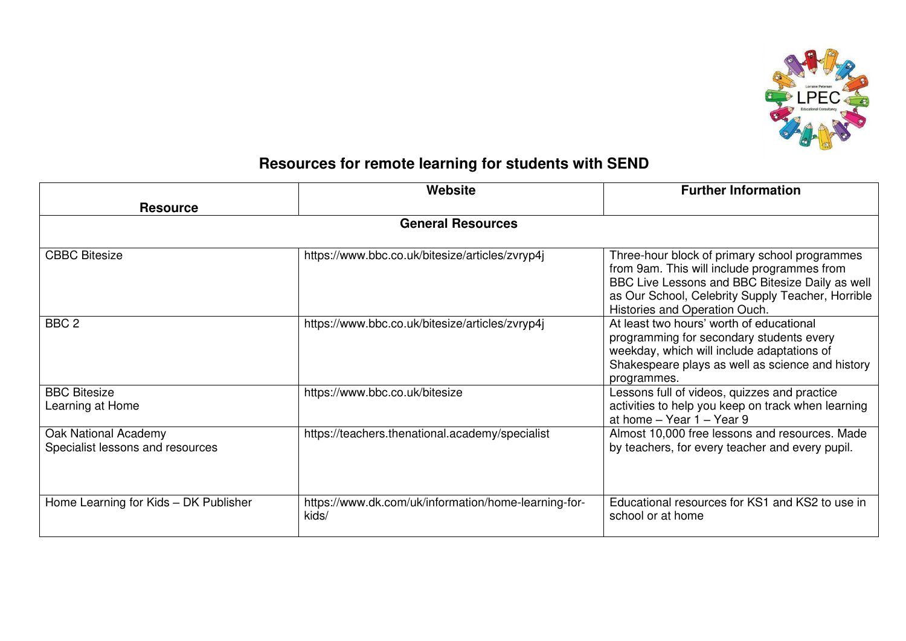

## **Resources for remote learning for students with SEND**

|                                                          | Website                                                       | <b>Further Information</b>                                                                                                                                                                                                            |  |  |
|----------------------------------------------------------|---------------------------------------------------------------|---------------------------------------------------------------------------------------------------------------------------------------------------------------------------------------------------------------------------------------|--|--|
| <b>Resource</b>                                          |                                                               |                                                                                                                                                                                                                                       |  |  |
| <b>General Resources</b>                                 |                                                               |                                                                                                                                                                                                                                       |  |  |
| <b>CBBC Bitesize</b>                                     | https://www.bbc.co.uk/bitesize/articles/zvryp4j               | Three-hour block of primary school programmes<br>from 9am. This will include programmes from<br>BBC Live Lessons and BBC Bitesize Daily as well<br>as Our School, Celebrity Supply Teacher, Horrible<br>Histories and Operation Ouch. |  |  |
| BBC <sub>2</sub>                                         | https://www.bbc.co.uk/bitesize/articles/zvryp4j               | At least two hours' worth of educational<br>programming for secondary students every<br>weekday, which will include adaptations of<br>Shakespeare plays as well as science and history<br>programmes.                                 |  |  |
| <b>BBC Bitesize</b><br>Learning at Home                  | https://www.bbc.co.uk/bitesize                                | Lessons full of videos, quizzes and practice<br>activities to help you keep on track when learning<br>at home $-$ Year 1 $-$ Year 9                                                                                                   |  |  |
| Oak National Academy<br>Specialist lessons and resources | https://teachers.thenational.academy/specialist               | Almost 10,000 free lessons and resources. Made<br>by teachers, for every teacher and every pupil.                                                                                                                                     |  |  |
| Home Learning for Kids - DK Publisher                    | https://www.dk.com/uk/information/home-learning-for-<br>kids/ | Educational resources for KS1 and KS2 to use in<br>school or at home                                                                                                                                                                  |  |  |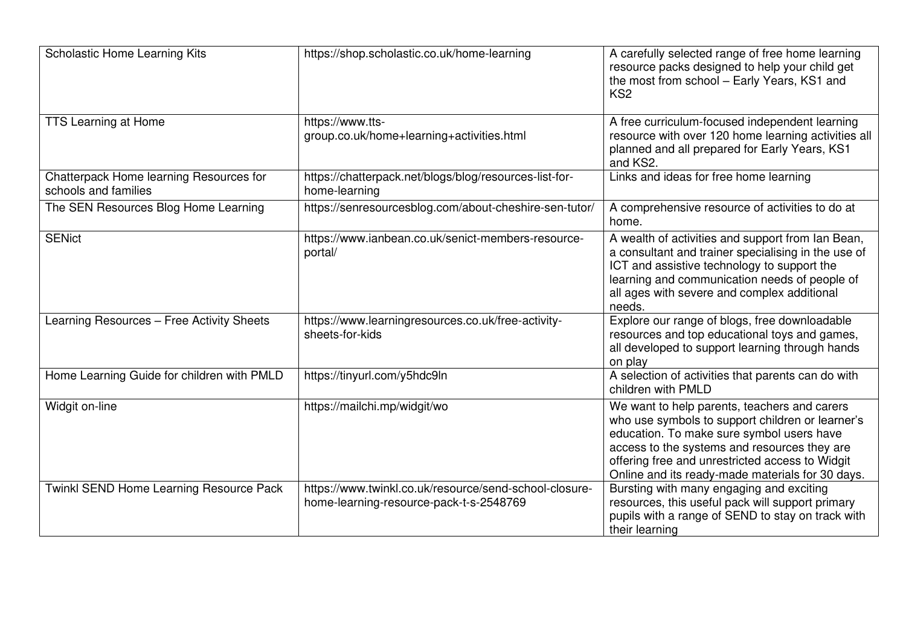| <b>Scholastic Home Learning Kits</b>                            | https://shop.scholastic.co.uk/home-learning                                                       | A carefully selected range of free home learning<br>resource packs designed to help your child get<br>the most from school - Early Years, KS1 and<br>KS <sub>2</sub>                                                                                                                                 |
|-----------------------------------------------------------------|---------------------------------------------------------------------------------------------------|------------------------------------------------------------------------------------------------------------------------------------------------------------------------------------------------------------------------------------------------------------------------------------------------------|
| <b>TTS Learning at Home</b>                                     | https://www.tts-<br>group.co.uk/home+learning+activities.html                                     | A free curriculum-focused independent learning<br>resource with over 120 home learning activities all<br>planned and all prepared for Early Years, KS1<br>and KS2.                                                                                                                                   |
| Chatterpack Home learning Resources for<br>schools and families | https://chatterpack.net/blogs/blog/resources-list-for-<br>home-learning                           | Links and ideas for free home learning                                                                                                                                                                                                                                                               |
| The SEN Resources Blog Home Learning                            | https://senresourcesblog.com/about-cheshire-sen-tutor/                                            | A comprehensive resource of activities to do at<br>home.                                                                                                                                                                                                                                             |
| <b>SENict</b>                                                   | https://www.ianbean.co.uk/senict-members-resource-<br>portal/                                     | A wealth of activities and support from Ian Bean,<br>a consultant and trainer specialising in the use of<br>ICT and assistive technology to support the<br>learning and communication needs of people of<br>all ages with severe and complex additional<br>needs.                                    |
| Learning Resources - Free Activity Sheets                       | https://www.learningresources.co.uk/free-activity-<br>sheets-for-kids                             | Explore our range of blogs, free downloadable<br>resources and top educational toys and games,<br>all developed to support learning through hands<br>on play                                                                                                                                         |
| Home Learning Guide for children with PMLD                      | https://tinyurl.com/y5hdc9ln                                                                      | A selection of activities that parents can do with<br>children with PMLD                                                                                                                                                                                                                             |
| Widgit on-line                                                  | https://mailchi.mp/widgit/wo                                                                      | We want to help parents, teachers and carers<br>who use symbols to support children or learner's<br>education. To make sure symbol users have<br>access to the systems and resources they are<br>offering free and unrestricted access to Widgit<br>Online and its ready-made materials for 30 days. |
| Twinkl SEND Home Learning Resource Pack                         | https://www.twinkl.co.uk/resource/send-school-closure-<br>home-learning-resource-pack-t-s-2548769 | Bursting with many engaging and exciting<br>resources, this useful pack will support primary<br>pupils with a range of SEND to stay on track with<br>their learning                                                                                                                                  |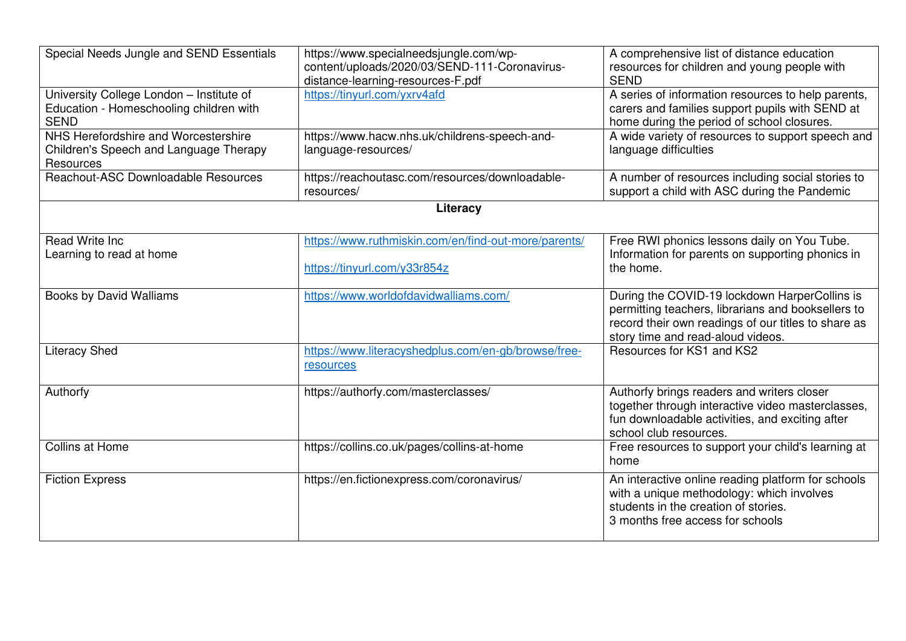| Special Needs Jungle and SEND Essentials                                                           | https://www.specialneedsjungle.com/wp-<br>content/uploads/2020/03/SEND-111-Coronavirus-<br>distance-learning-resources-F.pdf | A comprehensive list of distance education<br>resources for children and young people with<br><b>SEND</b>                                                                                       |  |
|----------------------------------------------------------------------------------------------------|------------------------------------------------------------------------------------------------------------------------------|-------------------------------------------------------------------------------------------------------------------------------------------------------------------------------------------------|--|
| University College London - Institute of<br>Education - Homeschooling children with<br><b>SEND</b> | https://tinyurl.com/yxrv4afd                                                                                                 | A series of information resources to help parents,<br>carers and families support pupils with SEND at<br>home during the period of school closures.                                             |  |
| NHS Herefordshire and Worcestershire<br>Children's Speech and Language Therapy<br>Resources        | https://www.hacw.nhs.uk/childrens-speech-and-<br>language-resources/                                                         | A wide variety of resources to support speech and<br>language difficulties                                                                                                                      |  |
| Reachout-ASC Downloadable Resources                                                                | https://reachoutasc.com/resources/downloadable-<br>resources/                                                                | A number of resources including social stories to<br>support a child with ASC during the Pandemic                                                                                               |  |
| Literacy                                                                                           |                                                                                                                              |                                                                                                                                                                                                 |  |
|                                                                                                    |                                                                                                                              |                                                                                                                                                                                                 |  |
| <b>Read Write Inc.</b>                                                                             | https://www.ruthmiskin.com/en/find-out-more/parents/                                                                         | Free RWI phonics lessons daily on You Tube.                                                                                                                                                     |  |
| Learning to read at home                                                                           | https://tinyurl.com/y33r854z                                                                                                 | Information for parents on supporting phonics in<br>the home.                                                                                                                                   |  |
| <b>Books by David Walliams</b>                                                                     | https://www.worldofdavidwalliams.com/                                                                                        | During the COVID-19 lockdown HarperCollins is<br>permitting teachers, librarians and booksellers to<br>record their own readings of our titles to share as<br>story time and read-aloud videos. |  |
| <b>Literacy Shed</b>                                                                               | https://www.literacyshedplus.com/en-gb/browse/free-<br>resources                                                             | Resources for KS1 and KS2                                                                                                                                                                       |  |
| Authorfy                                                                                           | https://authorfy.com/masterclasses/                                                                                          | Authorfy brings readers and writers closer<br>together through interactive video masterclasses,<br>fun downloadable activities, and exciting after<br>school club resources.                    |  |
| <b>Collins at Home</b>                                                                             | https://collins.co.uk/pages/collins-at-home                                                                                  | Free resources to support your child's learning at<br>home                                                                                                                                      |  |
| <b>Fiction Express</b>                                                                             | https://en.fictionexpress.com/coronavirus/                                                                                   | An interactive online reading platform for schools<br>with a unique methodology: which involves<br>students in the creation of stories.<br>3 months free access for schools                     |  |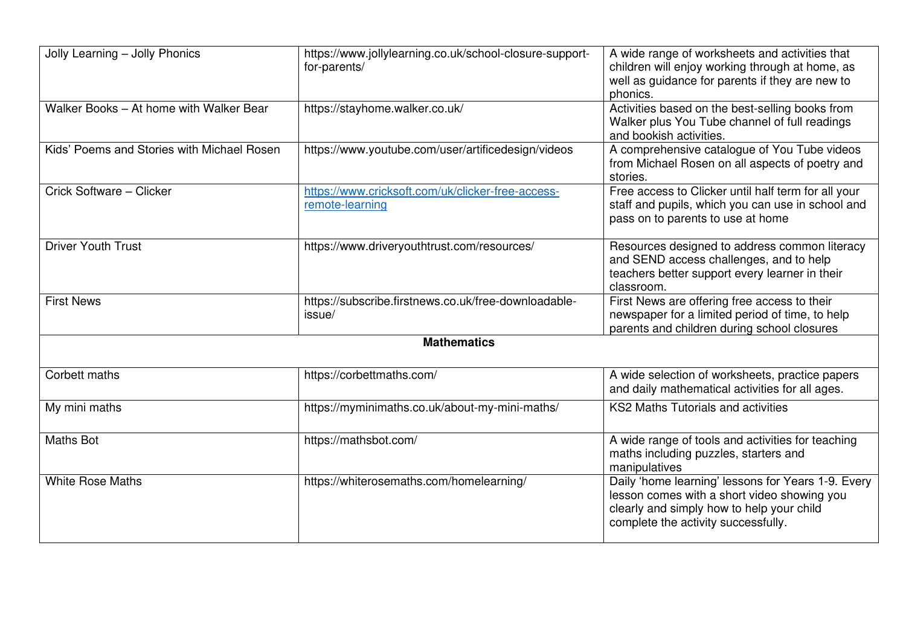| Jolly Learning - Jolly Phonics             | https://www.jollylearning.co.uk/school-closure-support-<br>for-parents/ | A wide range of worksheets and activities that<br>children will enjoy working through at home, as<br>well as guidance for parents if they are new to<br>phonics.                      |  |  |
|--------------------------------------------|-------------------------------------------------------------------------|---------------------------------------------------------------------------------------------------------------------------------------------------------------------------------------|--|--|
| Walker Books - At home with Walker Bear    | https://stayhome.walker.co.uk/                                          | Activities based on the best-selling books from<br>Walker plus You Tube channel of full readings<br>and bookish activities.                                                           |  |  |
| Kids' Poems and Stories with Michael Rosen | https://www.youtube.com/user/artificedesign/videos                      | A comprehensive catalogue of You Tube videos<br>from Michael Rosen on all aspects of poetry and<br>stories.                                                                           |  |  |
| Crick Software - Clicker                   | https://www.cricksoft.com/uk/clicker-free-access-<br>remote-learning    | Free access to Clicker until half term for all your<br>staff and pupils, which you can use in school and<br>pass on to parents to use at home                                         |  |  |
| <b>Driver Youth Trust</b>                  | https://www.driveryouthtrust.com/resources/                             | Resources designed to address common literacy<br>and SEND access challenges, and to help<br>teachers better support every learner in their<br>classroom.                              |  |  |
| <b>First News</b>                          | https://subscribe.firstnews.co.uk/free-downloadable-<br>issue/          | First News are offering free access to their<br>newspaper for a limited period of time, to help<br>parents and children during school closures                                        |  |  |
| <b>Mathematics</b>                         |                                                                         |                                                                                                                                                                                       |  |  |
| Corbett maths                              | https://corbettmaths.com/                                               | A wide selection of worksheets, practice papers<br>and daily mathematical activities for all ages.                                                                                    |  |  |
| My mini maths                              | https://myminimaths.co.uk/about-my-mini-maths/                          | <b>KS2 Maths Tutorials and activities</b>                                                                                                                                             |  |  |
| <b>Maths Bot</b>                           | https://mathsbot.com/                                                   | A wide range of tools and activities for teaching<br>maths including puzzles, starters and<br>manipulatives                                                                           |  |  |
| <b>White Rose Maths</b>                    | https://whiterosemaths.com/homelearning/                                | Daily 'home learning' lessons for Years 1-9. Every<br>lesson comes with a short video showing you<br>clearly and simply how to help your child<br>complete the activity successfully. |  |  |